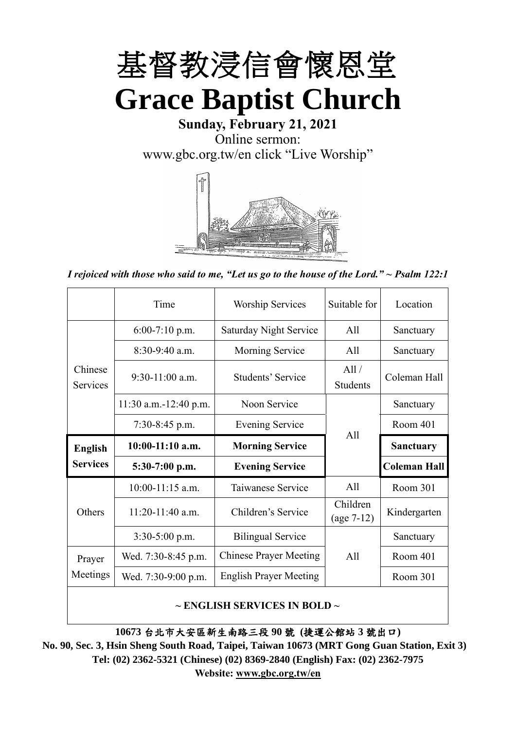

**Sunday, February 21, 2021** Online sermon: [www.gbc.org.tw/en](http://www.gbc.org.tw/en) click "Live Worship"



*I rejoiced with those who said to me, "Let us go to the house of the Lord." ~ Psalm 122:1*

|                            | Time                  | <b>Worship Services</b>       | Suitable for             | Location            |
|----------------------------|-----------------------|-------------------------------|--------------------------|---------------------|
|                            | $6:00-7:10$ p.m.      | <b>Saturday Night Service</b> | All                      | Sanctuary           |
|                            | $8:30-9:40$ a.m.      | Morning Service               | All                      | Sanctuary           |
| Chinese<br><b>Services</b> | $9:30-11:00$ a.m.     | Students' Service             | All /<br><b>Students</b> | Coleman Hall        |
|                            | 11:30 a.m.-12:40 p.m. | Noon Service                  |                          | Sanctuary           |
|                            | $7:30-8:45$ p.m.      | <b>Evening Service</b>        | All                      | Room 401            |
|                            |                       |                               |                          |                     |
| <b>English</b>             | $10:00-11:10$ a.m.    | <b>Morning Service</b>        |                          | <b>Sanctuary</b>    |
| <b>Services</b>            | $5:30-7:00$ p.m.      | <b>Evening Service</b>        |                          | <b>Coleman Hall</b> |
|                            | $10:00-11:15$ a.m.    | Taiwanese Service             | All                      | Room 301            |
| Others                     | $11:20-11:40$ a.m.    | Children's Service            | Children<br>$(age 7-12)$ | Kindergarten        |
|                            | $3:30-5:00$ p.m.      | <b>Bilingual Service</b>      |                          | Sanctuary           |
| Prayer                     | Wed. 7:30-8:45 p.m.   | <b>Chinese Prayer Meeting</b> | A11                      | Room 401            |
| Meetings                   | Wed. 7:30-9:00 p.m.   | <b>English Prayer Meeting</b> |                          | Room 301            |

#### **~ ENGLISH SERVICES IN BOLD ~**

**10673** 台北市大安區新生南路三段 **90** 號 **(**捷運公館站 **3** 號出口**)**

**No. 90, Sec. 3, Hsin Sheng South Road, Taipei, Taiwan 10673 (MRT Gong Guan Station, Exit 3) Tel: (02) 2362-5321 (Chinese) (02) 8369-2840 (English) Fax: (02) 2362-7975 Website: [www.gbc.org.tw/en](http://www.gbc.org.tw/en)**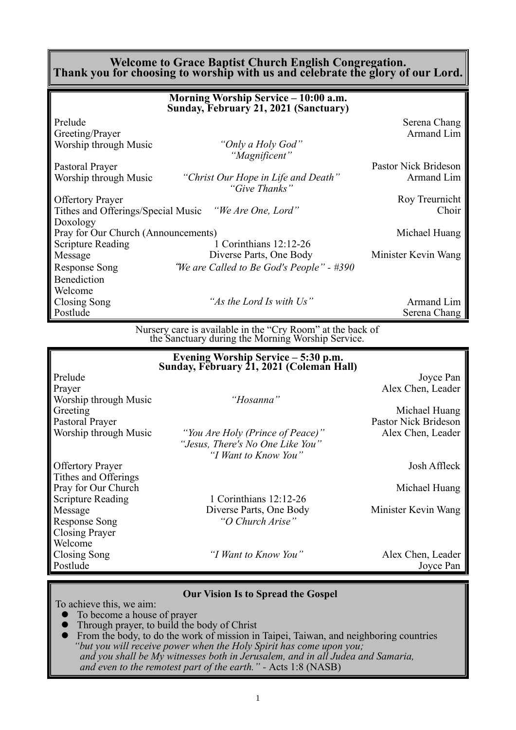#### **Welcome to Grace Baptist Church English Congregation. Thank you for choosing to worship with us and celebrate the glory of our Lord.**

|                                     | Morning Worship Service - 10:00 a.m.<br>Sunday, February 21, 2021 (Sanctuary) |                      |
|-------------------------------------|-------------------------------------------------------------------------------|----------------------|
| Prelude                             |                                                                               | Serena Chang         |
| Greeting/Prayer                     |                                                                               | Armand Lim           |
| Worship through Music               | "Only a Holy God"<br>"Magnificent"                                            |                      |
| Pastoral Prayer                     |                                                                               | Pastor Nick Brideson |
| Worship through Music               | "Christ Our Hope in Life and Death"<br>"Give Thanks"                          | Armand Lim           |
| <b>Offertory Prayer</b>             |                                                                               | Roy Treurnicht       |
|                                     | Tithes and Offerings/Special Music "We Are One, Lord"                         | Choir                |
| Doxology                            |                                                                               |                      |
| Pray for Our Church (Announcements) |                                                                               | Michael Huang        |
| <b>Scripture Reading</b>            | 1 Corinthians 12:12-26                                                        |                      |
| Message                             | Diverse Parts, One Body                                                       | Minister Kevin Wang  |
| <b>Response Song</b>                | "We are Called to Be God's People" - #390                                     |                      |
| <b>Benediction</b>                  |                                                                               |                      |
| Welcome                             |                                                                               |                      |
| Closing Song                        | "As the Lord Is with Us"                                                      | Armand Lim           |
| Postlude                            |                                                                               | Serena Chang         |

Nursery care is available in the "Cry Room" at the back of the Sanctuary during the Morning Worship Service.

|                          | Evening Worship Service - 5:30 p.m.<br>Sunday, February 21, 2021 (Coleman Hall) |                             |
|--------------------------|---------------------------------------------------------------------------------|-----------------------------|
| Prelude                  |                                                                                 | Joyce Pan                   |
| Prayer                   |                                                                                 | Alex Chen, Leader           |
| Worship through Music    | "Hosanna"                                                                       |                             |
| Greeting                 |                                                                                 | Michael Huang               |
| Pastoral Prayer          |                                                                                 | <b>Pastor Nick Brideson</b> |
| Worship through Music    | "You Are Holy (Prince of Peace)"                                                | Alex Chen, Leader           |
|                          | "Jesus, There's No One Like You"<br>"I Want to Know You"                        |                             |
|                          |                                                                                 |                             |
| <b>Offertory Prayer</b>  |                                                                                 | Josh Affleck                |
| Tithes and Offerings     |                                                                                 |                             |
| Pray for Our Church      |                                                                                 | Michael Huang               |
| <b>Scripture Reading</b> | 1 Corinthians $12:12-26$                                                        |                             |
| Message                  | Diverse Parts, One Body                                                         | Minister Kevin Wang         |
| <b>Response Song</b>     | "O Church Arise"                                                                |                             |
| Closing Prayer           |                                                                                 |                             |
| Welcome                  |                                                                                 |                             |
| Closing Song             | "I Want to Know You"                                                            | Alex Chen, Leader           |
| Postlude                 |                                                                                 | Joyce Pan                   |

#### **Our Vision Is to Spread the Gospel**

To achieve this, we aim:

- ⚫ To become a house of prayer
- ⚫ Through prayer, to build the body of Christ
- ⚫ From the body, to do the work of mission in Taipei, Taiwan, and neighboring countries *"but you will receive power when the Holy Spirit has come upon you; and you shall be My witnesses both in Jerusalem, and in all Judea and Samaria, and even to the remotest part of the earth." -* Acts 1:8 (NASB)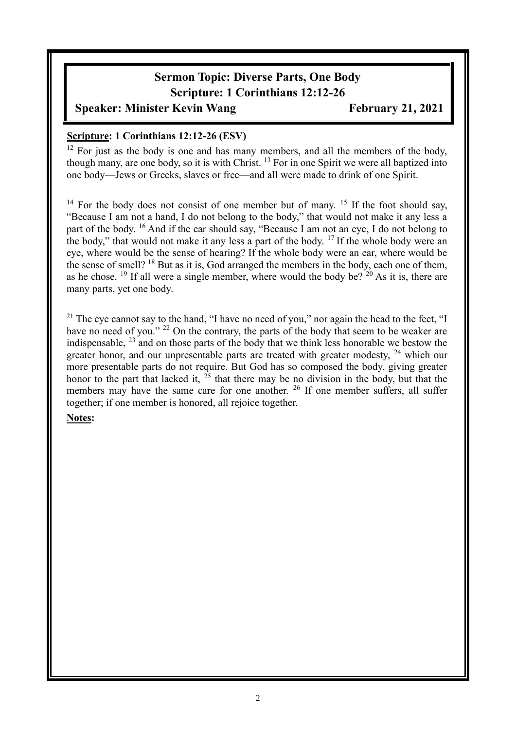# **Sermon Topic: Diverse Parts, One Body Scripture: 1 Corinthians 12:12-26**

**Speaker: Minister Kevin Wang Pebruary 21, 2021** 

#### **Scripture: 1 Corinthians 12:12-26 (ESV)**

 $12$  For just as the body is one and has many members, and all the members of the body, though many, are one body, so it is with Christ. <sup>13</sup> For in one Spirit we were all baptized into one body—Jews or Greeks, slaves or free—and all were made to drink of one Spirit.

<sup>14</sup> For the body does not consist of one member but of many. <sup>15</sup> If the foot should say, "Because I am not a hand, I do not belong to the body," that would not make it any less a part of the body. <sup>16</sup> And if the ear should say, "Because I am not an eye, I do not belong to the body," that would not make it any less a part of the body.  $17$  If the whole body were an eye, where would be the sense of hearing? If the whole body were an ear, where would be the sense of smell? <sup>18</sup> But as it is, God arranged the members in the body, each one of them, as he chose. <sup>19</sup> If all were a single member, where would the body be?  $20$  As it is, there are many parts, yet one body.

<sup>21</sup> The eye cannot say to the hand, "I have no need of you," nor again the head to the feet, "I have no need of you." <sup>22</sup> On the contrary, the parts of the body that seem to be weaker are indispensable, <sup>23</sup> and on those parts of the body that we think less honorable we bestow the greater honor, and our unpresentable parts are treated with greater modesty,  $24$  which our more presentable parts do not require. But God has so composed the body, giving greater honor to the part that lacked it,  $2\overline{5}$  that there may be no division in the body, but that the members may have the same care for one another. <sup>26</sup> If one member suffers, all suffer together; if one member is honored, all rejoice together.

#### **Notes:**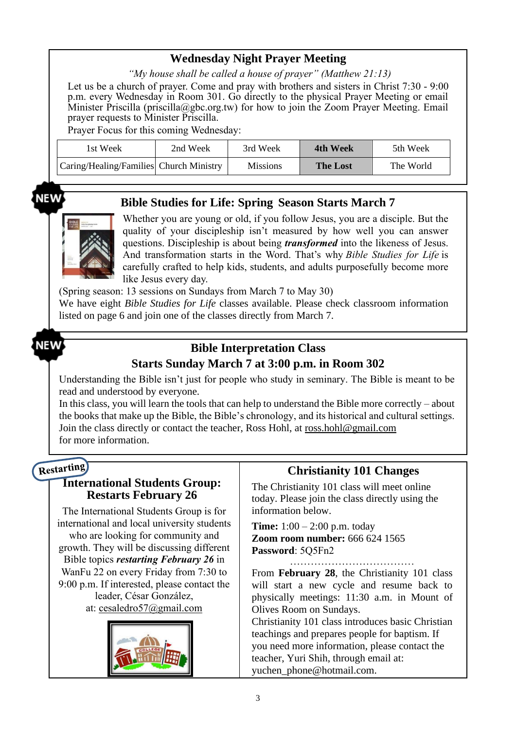# **Wednesday Night Prayer Meeting**

*"My house shall be called a house of prayer" (Matthew 21:13)*

Let us be a church of prayer. Come and pray with brothers and sisters in Christ 7:30 - 9:00 p.m. every Wednesday in Room 301. Go directly to the physical Prayer Meeting or email Minister Priscilla (priscilla@gbc.org.tw) for how to join the Zoom Prayer Meeting. Email prayer requests to Minister Priscilla.

Prayer Focus for this coming Wednesday:

| 1st Week                                | 2nd Week | 3rd Week        | 4th Week        | 5th Week  |
|-----------------------------------------|----------|-----------------|-----------------|-----------|
| Caring/Healing/Families Church Ministry |          | <b>Missions</b> | <b>The Lost</b> | The World |

NEW

#### **Bible Studies for Life: Spring Season Starts March 7**

Whether you are young or old, if you follow Jesus, you are a disciple. But the quality of your discipleship isn't measured by how well you can answer questions. Discipleship is about being *transformed* into the likeness of Jesus. And transformation starts in the Word. That's why *Bible Studies for Life* is carefully crafted to help kids, students, and adults purposefully become more like Jesus every day.

(Spring season: 13 sessions on Sundays from March 7 to May 30)

We have eight *Bible Studies for Life* classes available. Please check classroom information listed on page 6 and join one of the classes directly from March 7.

# NEW

### **Bible Interpretation Class Starts Sunday March 7 at 3:00 p.m. in Room 302**

Understanding the Bible isn't just for people who study in seminary. The Bible is meant to be read and understood by everyone.

In this class, you will learn the tools that can help to understand the Bible more correctly – about the books that make up the Bible, the Bible's chronology, and its historical and cultural settings. Join the class directly or contact the teacher, Ross Hohl, at [ross.hohl@gmail.com](mailto:ross.hohl@gmail.com) for more information.

# Restarting

#### **International Students Group: Restarts February 26**

The International Students Group is for international and local university students who are looking for community and growth. They will be discussing different Bible topics *restarting February 26* in WanFu 22 on every Friday from 7:30 to 9:00 p.m. If interested, please contact the leader, César González, at: [cesaledro57@gmail.com](mailto:cesaledro57@gmail.com)



### **Christianity 101 Changes**

The Christianity 101 class will meet online today. Please join the class directly using the information below.

**Time:** 1:00 – 2:00 p.m. today **Zoom room number:** 666 624 1565 **Password**: 5Q5Fn2

………………………………

From **February 28**, the Christianity 101 class will start a new cycle and resume back to physically meetings: 11:30 a.m. in Mount of Olives Room on Sundays.

Christianity 101 class introduces basic Christian teachings and prepares people for baptism. If you need more information, please contact the teacher, Yuri Shih, through email at: [yuchen\\_phone@hotmail.com.](mailto:yuchen_phone@hotmail.com)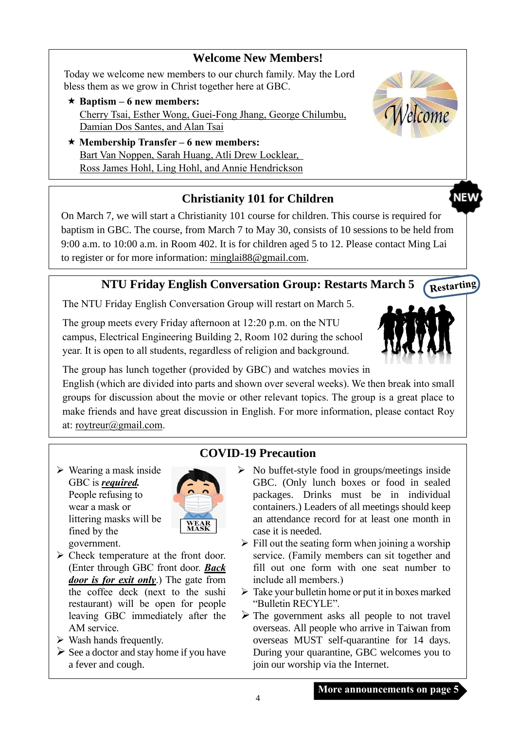### **Welcome New Members!**

Today we welcome new members to our church family. May the Lord bless them as we grow in Christ together here at GBC.

- $\star$  Baptism 6 new members: Cherry Tsai, Esther Wong, Guei-Fong Jhang, George Chilumbu, Damian Dos Santes, and Alan Tsai
- **Membership Transfer – 6 new members:**  Bart Van Noppen, Sarah Huang, Atli Drew Locklear, Ross James Hohl, Ling Hohl, and Annie Hendrickson



**NEV** 

# **Christianity 101 for Children**

On March 7, we will start a Christianity 101 course for children. This course is required for baptism in GBC. The course, from March 7 to May 30, consists of 10 sessions to be held from 9:00 a.m. to 10:00 a.m. in Room 402. It is for children aged 5 to 12. Please contact Ming Lai to register or for more information: [minglai88@gmail.com.](mailto:minglai88@gmail.com)

#### Restarting **NTU Friday English Conversation Group: Restarts March 5**

The NTU Friday English Conversation Group will restart on March 5.

The group meets every Friday afternoon at 12:20 p.m. on the NTU campus, Electrical Engineering Building 2, Room 102 during the school year. It is open to all students, regardless of religion and background.



The group has lunch together (provided by GBC) and watches movies in English (which are divided into parts and shown over several weeks). We then break into small groups for discussion about the movie or other relevant topics. The group is a great place to make friends and have great discussion in English. For more information, please contact Roy at: [roytreur@gmail.com.](mailto:roytreur@gmail.com)

 $\triangleright$  Wearing a mask inside GBC is *required.* People refusing to wear a mask or littering masks will be fined by the government.



- ➢ Check temperature at the front door. (Enter through GBC front door. *Back door is for exit only*.) The gate from the coffee deck (next to the sushi restaurant) will be open for people leaving GBC immediately after the AM service.
- $\triangleright$  Wash hands frequently.
- $\triangleright$  See a doctor and stay home if you have a fever and cough.

# **COVID-19 Precaution**

- $\triangleright$  No buffet-style food in groups/meetings inside GBC. (Only lunch boxes or food in sealed packages. Drinks must be in individual containers.) Leaders of all meetings should keep an attendance record for at least one month in case it is needed.
- $\triangleright$  Fill out the seating form when joining a worship service. (Family members can sit together and fill out one form with one seat number to include all members.)
- ➢ Take your bulletin home or put it in boxes marked "Bulletin RECYLE".
- $\triangleright$  The government asks all people to not travel overseas. All people who arrive in Taiwan from overseas MUST self-quarantine for 14 days. During your quarantine, GBC welcomes you to join our worship via the Internet.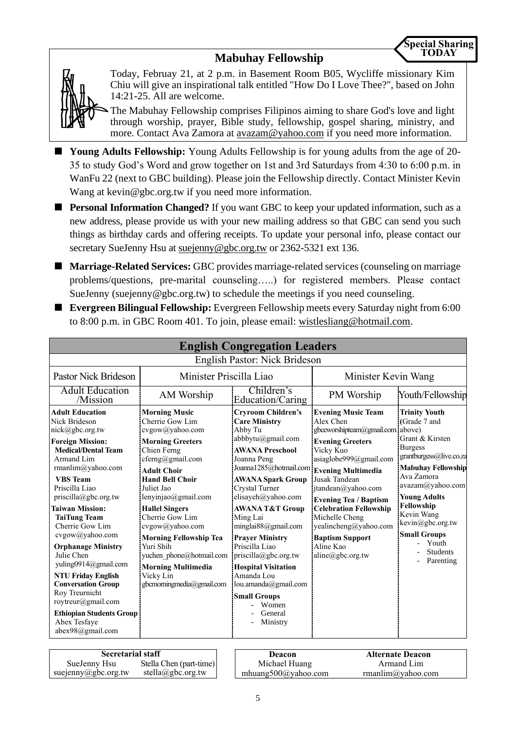### **Mabuhay Fellowship**



Today, Februay 21, at 2 p.m. in Basement Room B05, Wycliffe missionary Kim Chiu will give an inspirational talk entitled "How Do I Love Thee?", based on John 14:21-25. All are welcome.

The Mabuhay Fellowship comprises Filipinos aiming to share God's love and light through worship, prayer, Bible study, fellowship, gospel sharing, ministry, and more. Contact Ava Zamora at [avazam@yahoo.com](mailto:avazam@yahoo.com) if you need more information.

- **Young Adults Fellowship:** Young Adults Fellowship is for young adults from the age of 20-35 to study God's Word and grow together on 1st and 3rd Saturdays from 4:30 to 6:00 p.m. in WanFu 22 (next to GBC building). Please join the Fellowship directly. Contact Minister Kevin Wang at kevin@gbc.org.tw if you need more information.
- **Personal Information Changed?** If you want GBC to keep your updated information, such as a new address, please provide us with your new mailing address so that GBC can send you such things as birthday cards and offering receipts. To update your personal info, please contact our secretary SueJenny Hsu at [suejenny@gbc.org.tw](mailto:suejenny@gbc.org.tw) or 2362-5321 ext 136.
- **Marriage-Related Services:** GBC provides marriage-related services (counseling on marriage problems/questions, pre-marital counseling…..) for registered members. Please contact SueJenny (suejenny@gbc.org.tw) to schedule the meetings if you need counseling.
- **Evergreen Bilingual Fellowship:** Evergreen Fellowship meets every Saturday night from 6:00 to 8:00 p.m. in GBC Room 401. To join, please email: [wistlesliang@hotmail.com.](mailto:wistlesliang@hotmail.com)

|                                                                                                                                                                                                                                                                                                                                                                                                                                                                                                                                                 |                                                                                                                                                                                                                                                                                                                                                                                                                               | <b>English Congregation Leaders</b>                                                                                                                                                                                                                                                                                                                                                                                                                                                                                     |                                                                                                                                                                                                                                                                                                                                                            |                                                                                                                                                                                                                                                                                                            |
|-------------------------------------------------------------------------------------------------------------------------------------------------------------------------------------------------------------------------------------------------------------------------------------------------------------------------------------------------------------------------------------------------------------------------------------------------------------------------------------------------------------------------------------------------|-------------------------------------------------------------------------------------------------------------------------------------------------------------------------------------------------------------------------------------------------------------------------------------------------------------------------------------------------------------------------------------------------------------------------------|-------------------------------------------------------------------------------------------------------------------------------------------------------------------------------------------------------------------------------------------------------------------------------------------------------------------------------------------------------------------------------------------------------------------------------------------------------------------------------------------------------------------------|------------------------------------------------------------------------------------------------------------------------------------------------------------------------------------------------------------------------------------------------------------------------------------------------------------------------------------------------------------|------------------------------------------------------------------------------------------------------------------------------------------------------------------------------------------------------------------------------------------------------------------------------------------------------------|
|                                                                                                                                                                                                                                                                                                                                                                                                                                                                                                                                                 |                                                                                                                                                                                                                                                                                                                                                                                                                               | English Pastor: Nick Brideson                                                                                                                                                                                                                                                                                                                                                                                                                                                                                           |                                                                                                                                                                                                                                                                                                                                                            |                                                                                                                                                                                                                                                                                                            |
| <b>Pastor Nick Brideson</b>                                                                                                                                                                                                                                                                                                                                                                                                                                                                                                                     | Minister Priscilla Liao                                                                                                                                                                                                                                                                                                                                                                                                       |                                                                                                                                                                                                                                                                                                                                                                                                                                                                                                                         | Minister Kevin Wang                                                                                                                                                                                                                                                                                                                                        |                                                                                                                                                                                                                                                                                                            |
| <b>Adult Education</b><br>/Mission                                                                                                                                                                                                                                                                                                                                                                                                                                                                                                              | AM Worship                                                                                                                                                                                                                                                                                                                                                                                                                    | Children's<br>Education/Caring                                                                                                                                                                                                                                                                                                                                                                                                                                                                                          | PM Worship                                                                                                                                                                                                                                                                                                                                                 | Youth/Fellowship                                                                                                                                                                                                                                                                                           |
| <b>Adult Education</b><br>Nick Brideson<br>nick@gbc.org.tw<br><b>Foreign Mission:</b><br><b>Medical/Dental Team</b><br>Armand Lim<br>rmanlim@yahoo.com<br><b>VBS</b> Team<br>Priscilla Liao<br>priscilla@gbc.org.tw<br>Taiwan Mission:<br><b>TaiTung Team</b><br>Cherrie Gow Lim<br>cvgow@yahoo.com<br><b>Orphanage Ministry</b><br>Julie Chen<br>yuling0914@gmail.com<br><b>NTU Friday English</b><br><b>Conversation Group</b><br>Roy Treurnicht<br>roytreur@gmail.com<br><b>Ethiopian Students Group</b><br>Abex Tesfaye<br>abex98@gmail.com | <b>Morning Music</b><br>Cherrie Gow Lim<br>cvgow@yahoo.com<br><b>Morning Greeters</b><br>Chien Ferng<br>cferng@gmail.com<br><b>Adult Choir</b><br><b>Hand Bell Choir</b><br>Juliet Jao<br>lenyinjao@gmail.com<br><b>Hallel Singers</b><br>Cherrie Gow Lim<br>cvgow@yahoo.com<br><b>Morning Fellowship Tea</b><br>Yuri Shih<br>yuchen phone@hotmail.com<br><b>Morning Multimedia</b><br>Vicky Lin<br>gbcmorningmedia@gmail.com | <b>Cryroom Children's</b><br><b>Care Ministry</b><br>Abby Tu<br>abbbytu@gmail.com<br><b>AWANA Preschool</b><br>Joanna Peng<br>Joanna1285@hotmail.com Evening Multimedia<br><b>AWANA Spark Group</b><br>Crystal Turner<br>elisayeh@yahoo.com<br><b>AWANA T&amp;T Group</b><br>Ming Lai<br>minglai88@gmail.com<br><b>Prayer Ministry</b><br>Priscilla Liao<br>$priscilla(\partial gbc.org.tw)$<br><b>Hospital Visitation</b><br>Amanda Lou<br>lou.amanda@gmail.com<br><b>Small Groups</b><br>Women<br>General<br>Ministry | <b>Evening Music Team</b><br>Alex Chen<br>gbceworshipteam@gmail.com above)<br><b>Evening Greeters</b><br>Vicky Kuo<br>asiaglobe999@gmail.com<br>Jusak Tandean<br>jtandean@yahoo.com<br><b>Evening Tea / Baptism</b><br><b>Celebration Fellowship</b><br>Michelle Cheng<br>yealincheng@yahoo.com<br><b>Baptism Support</b><br>Aline Kao<br>aline@gbc.org.tw | <b>Trinity Youth</b><br>(Grade 7 and<br>Grant & Kirsten<br><b>Burgess</b><br>grantburgess@live.co.za<br><b>Mabuhay Fellowship</b><br>Ava Zamora<br>avazam@yahoo.com<br><b>Young Adults</b><br>Fellowship<br>Kevin Wang<br>kevin@gbc.org.tw<br><b>Small Groups</b><br>Youth<br><b>Students</b><br>Parenting |

| <b>Secretarial staff</b> |                         |  | Deacon              | <b>Alternate Deacon</b> |  |
|--------------------------|-------------------------|--|---------------------|-------------------------|--|
| SueJenny Hsu             | Stella Chen (part-time) |  | Michael Huang       | Armand Lim              |  |
| suejenny@gbc.org.tw      | stella@gbc.org.tw       |  | mhuang500@yahoo.com | rmanlim@yahoo.com       |  |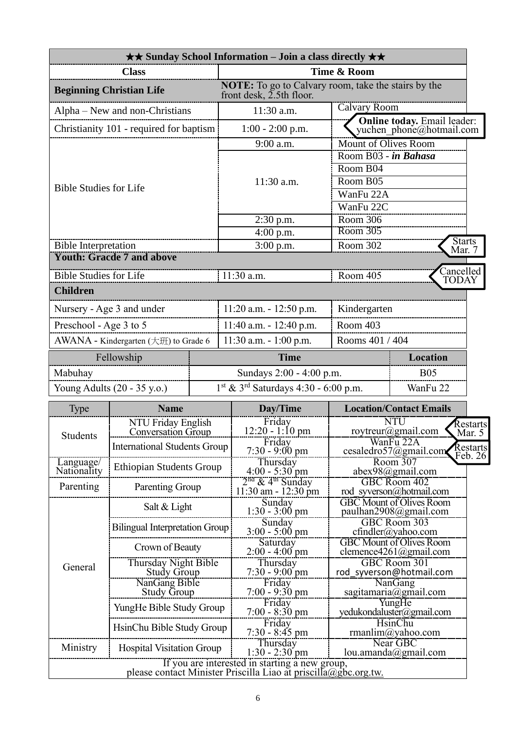|                                 |                                                 |  | <b>★★ Sunday School Information – Join a class directly ★★</b>                                                    |                                                            |                                                                |  |
|---------------------------------|-------------------------------------------------|--|-------------------------------------------------------------------------------------------------------------------|------------------------------------------------------------|----------------------------------------------------------------|--|
| <b>Class</b>                    |                                                 |  | Time & Room                                                                                                       |                                                            |                                                                |  |
| <b>Beginning Christian Life</b> |                                                 |  | <b>NOTE:</b> To go to Calvary room, take the stairs by the<br>front desk, $2.5$ th floor.                         |                                                            |                                                                |  |
|                                 | Alpha – New and non-Christians                  |  | 11:30 a.m.                                                                                                        | <b>Calvary Room</b>                                        |                                                                |  |
|                                 | Christianity 101 - required for baptism         |  | $1:00 - 2:00$ p.m.                                                                                                |                                                            | <b>Online today.</b> Email leader:<br>yuchen_phone@hotmail.com |  |
|                                 |                                                 |  | 9:00 a.m.                                                                                                         | <b>Mount of Olives Room</b>                                |                                                                |  |
|                                 |                                                 |  |                                                                                                                   | Room B03 - in Bahasa                                       |                                                                |  |
|                                 |                                                 |  |                                                                                                                   | Room B04                                                   |                                                                |  |
| <b>Bible Studies for Life</b>   |                                                 |  | $11:30$ a.m.                                                                                                      | Room B05<br>WanFu 22A                                      |                                                                |  |
|                                 |                                                 |  |                                                                                                                   | WanFu 22C                                                  |                                                                |  |
|                                 |                                                 |  | $2:30$ p.m.                                                                                                       | Room 306                                                   |                                                                |  |
|                                 |                                                 |  | $4:00$ p.m.                                                                                                       | Room 305                                                   |                                                                |  |
| <b>Bible Interpretation</b>     |                                                 |  | $3:00$ p.m.                                                                                                       | Room 302                                                   | <b>Starts</b><br>Mar. 7                                        |  |
|                                 | <b>Youth: Gracde 7 and above</b>                |  |                                                                                                                   |                                                            |                                                                |  |
| <b>Bible Studies for Life</b>   |                                                 |  | $11:30$ a.m.                                                                                                      | Room 405                                                   | Cancelled<br><b>TODAY</b>                                      |  |
| <b>Children</b>                 |                                                 |  |                                                                                                                   |                                                            |                                                                |  |
|                                 | Nursery - Age 3 and under                       |  | $11:20$ a.m. $-12:50$ p.m.                                                                                        | Kindergarten                                               |                                                                |  |
| Preschool - Age 3 to 5          |                                                 |  | 11:40 a.m. - 12:40 p.m.                                                                                           | Room 403                                                   |                                                                |  |
|                                 | AWANA - Kindergarten (大班) to Grade 6            |  | $11:30$ a.m. $-1:00$ p.m.                                                                                         | Rooms 401 / 404                                            |                                                                |  |
|                                 | Fellowship                                      |  | <b>Time</b>                                                                                                       |                                                            | Location                                                       |  |
| Mabuhay                         |                                                 |  | Sundays 2:00 - 4:00 p.m.<br><b>B05</b>                                                                            |                                                            |                                                                |  |
|                                 | Young Adults (20 - 35 y.o.)                     |  |                                                                                                                   | $1^{st}$ & $3^{rd}$ Saturdays 4:30 - 6:00 p.m.<br>WanFu 22 |                                                                |  |
| <b>Type</b>                     | <b>Name</b>                                     |  | Day/Time                                                                                                          |                                                            | <b>Location/Contact Emails</b>                                 |  |
|                                 | NTU Friday English<br><b>Conversation Group</b> |  | Friday<br>12:20 - 1:10 pm                                                                                         | <b>NTU</b><br>Restarts<br>roytreur@gmail.com<br>Mar. 5     |                                                                |  |
| Students                        | <b>International Students Group</b>             |  | Friday<br>$7:30 - 9:00 \text{ pm}$                                                                                | WanFu 22A<br>Restarts<br>cesaledro57@gmail.com             |                                                                |  |
| Language/                       |                                                 |  | Thursday                                                                                                          | Feb. 26 <br>Room 307                                       |                                                                |  |
| Nationality                     | <b>Ethiopian Students Group</b>                 |  | $4:00 - 5:30$ pm                                                                                                  |                                                            | abex98@gmail.com                                               |  |
| Parenting                       | <b>Parenting Group</b>                          |  | $2nd$ & 4 <sup>th</sup> Sunday<br>$11:30$ am - $12:30$ pm                                                         |                                                            | GBC Room 402<br>rod syverson@hotmail.com                       |  |
|                                 | Salt & Light                                    |  | Sunday<br>$1:30 - 3:00$ pm                                                                                        | <b>GBC Mount of Olives Room</b><br>paulhan2908@gmail.com   |                                                                |  |
|                                 | <b>Bilingual Interpretation Group</b>           |  | Sunday<br>$3:00 - 5:00 \text{ pm}$                                                                                | GBC Room 303<br>cfindler@yahoo.com                         |                                                                |  |
|                                 | Crown of Beauty                                 |  | Saturday<br>$2:00 - 4:00$ pm                                                                                      | <b>GBC Mount of Olives Room</b><br>clemence4261@gmail.com  |                                                                |  |
| General                         | Thursday Night Bible                            |  | Thursday                                                                                                          |                                                            | GBC Room 301                                                   |  |
|                                 | <b>Study Group</b><br>NanGang Bible             |  | $7:30 - 9:00$ pm<br>Friday                                                                                        |                                                            | rod_syverson@hotmail.com<br>NanGang                            |  |
|                                 | <b>Study Group</b>                              |  | $7:00 - 9:30$ pm<br>Friday                                                                                        |                                                            | sagitamaria@gmail.com                                          |  |
|                                 | YungHe Bible Study Group                        |  | $7:00 - 8:30$ pm                                                                                                  |                                                            | YungHe<br>yedukondaluster@gmail.com                            |  |
|                                 | HsinChu Bible Study Group                       |  | Friday<br>$7:30 - 8:45$ pm                                                                                        |                                                            | <b>HsinChu</b><br>rmanlim@yahoo.com                            |  |
| Ministry                        | <b>Hospital Visitation Group</b>                |  | Thursday<br>$1:30 - 2:30$ pm                                                                                      |                                                            | Near GBC<br>lou.amanda@gmail.com                               |  |
|                                 |                                                 |  | If you are interested in starting a new group,<br>please contact Minister Priscilla Liao at priscilla@gbc.org.tw. |                                                            |                                                                |  |